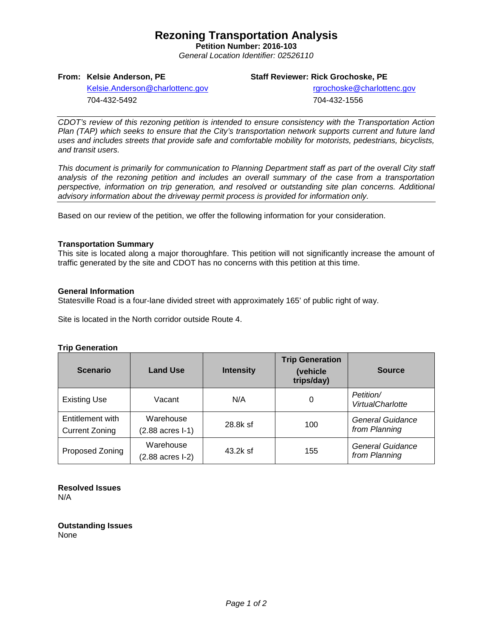# **Rezoning Transportation Analysis**

**Petition Number: 2016-103** *General Location Identifier: 02526110*

## **From: Kelsie Anderson, PE**

## **Staff Reviewer: Rick Grochoske, PE**

[Kelsie.Anderson@charlottenc.gov](mailto:Kelsie.Anderson@charlottenc.gov) 704-432-5492

 rgrochoske@charlottenc.gov 704-432-1556

*CDOT's review of this rezoning petition is intended to ensure consistency with the Transportation Action Plan (TAP) which seeks to ensure that the City's transportation network supports current and future land uses and includes streets that provide safe and comfortable mobility for motorists, pedestrians, bicyclists, and transit users.*

*This document is primarily for communication to Planning Department staff as part of the overall City staff analysis of the rezoning petition and includes an overall summary of the case from a transportation perspective, information on trip generation, and resolved or outstanding site plan concerns. Additional advisory information about the driveway permit process is provided for information only.*

Based on our review of the petition, we offer the following information for your consideration.

### **Transportation Summary**

This site is located along a major thoroughfare. This petition will not significantly increase the amount of traffic generated by the site and CDOT has no concerns with this petition at this time.

### **General Information**

Statesville Road is a four-lane divided street with approximately 165' of public right of way.

Site is located in the North corridor outside Route 4.

| <b>Scenario</b>                           | <b>Land Use</b>                                  | <b>Intensity</b> | <b>Trip Generation</b><br>(vehicle<br>trips/day) | <b>Source</b>                            |
|-------------------------------------------|--------------------------------------------------|------------------|--------------------------------------------------|------------------------------------------|
| <b>Existing Use</b>                       | Vacant                                           | N/A              | 0                                                | Petition/<br><b>VirtualCharlotte</b>     |
| Entitlement with<br><b>Current Zoning</b> | Warehouse<br>$(2.88 \text{ acres} \text{ } 1-1)$ | 28.8k sf         | 100                                              | General Guidance<br>from Planning        |
| Proposed Zoning                           | Warehouse<br>$(2.88 \text{ acres} \text{ } 1-2)$ | 43.2k sf         | 155                                              | <b>General Guidance</b><br>from Planning |

**Resolved Issues** N/A

**Outstanding Issues** None